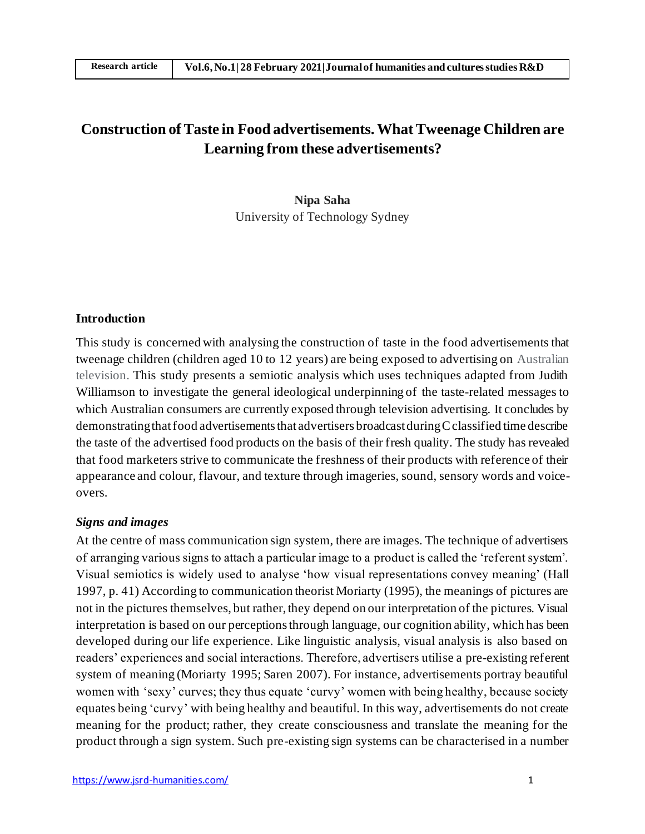# **Construction of Taste in Food advertisements. What Tweenage Children are Learning from these advertisements?**

**Nipa Saha** University of Technology Sydney

#### **Introduction**

This study is concerned with analysing the construction of taste in the food advertisements that tweenage children (children aged 10 to 12 years) are being exposed to advertising on Australian television. This study presents a semiotic analysis which uses techniques adapted from Judith Williamson to investigate the general ideological underpinning of the taste-related messages to which Australian consumers are currently exposed through television advertising. It concludes by demonstrating that food advertisements that advertisers broadcast during C classified time describe the taste of the advertised food products on the basis of their fresh quality. The study has revealed that food marketers strive to communicate the freshness of their products with reference of their appearance and colour, flavour, and texture through imageries, sound, sensory words and voiceovers.

#### *Signs and images*

At the centre of mass communication sign system, there are images. The technique of advertisers of arranging various signs to attach a particular image to a product is called the 'referent system'. Visual semiotics is widely used to analyse 'how visual representations convey meaning' (Hall 1997, p. 41) According to communication theorist Moriarty (1995), the meanings of pictures are not in the pictures themselves, but rather, they depend on our interpretation of the pictures. Visual interpretation is based on our perceptions through language, our cognition ability, which has been developed during our life experience. Like linguistic analysis, visual analysis is also based on readers' experiences and social interactions. Therefore, advertisers utilise a pre-existing referent system of meaning (Moriarty 1995; Saren 2007). For instance, advertisements portray beautiful women with 'sexy' curves; they thus equate 'curvy' women with being healthy, because society equates being 'curvy' with being healthy and beautiful. In this way, advertisements do not create meaning for the product; rather, they create consciousness and translate the meaning for the product through a sign system. Such pre-existing sign systems can be characterised in a number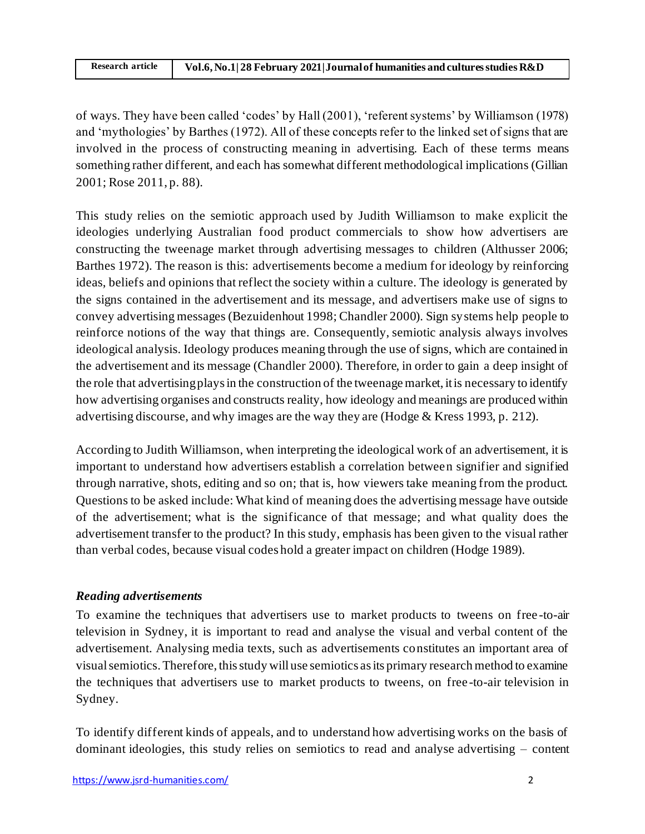of ways. They have been called 'codes' by Hall (2001), 'referent systems' by Williamson (1978) and 'mythologies' by Barthes (1972). All of these concepts refer to the linked set of signs that are involved in the process of constructing meaning in advertising. Each of these terms means something rather different, and each has somewhat different methodological implications (Gillian 2001; Rose 2011, p. 88).

This study relies on the semiotic approach used by Judith Williamson to make explicit the ideologies underlying Australian food product commercials to show how advertisers are constructing the tweenage market through advertising messages to children (Althusser 2006; Barthes 1972). The reason is this: advertisements become a medium for ideology by reinforcing ideas, beliefs and opinions that reflect the society within a culture. The ideology is generated by the signs contained in the advertisement and its message, and advertisers make use of signs to convey advertising messages (Bezuidenhout 1998; Chandler 2000). Sign systems help people to reinforce notions of the way that things are. Consequently, semiotic analysis always involves ideological analysis. Ideology produces meaning through the use of signs, which are contained in the advertisement and its message (Chandler 2000). Therefore, in order to gain a deep insight of the role that advertising plays in the construction of the tweenage market, it is necessary to identify how advertising organises and constructs reality, how ideology and meanings are produced within advertising discourse, and why images are the way they are (Hodge & Kress 1993, p. 212).

According to Judith Williamson, when interpreting the ideological work of an advertisement, it is important to understand how advertisers establish a correlation between signifier and signified through narrative, shots, editing and so on; that is, how viewers take meaning from the product. Questions to be asked include: What kind of meaning does the advertising message have outside of the advertisement; what is the significance of that message; and what quality does the advertisement transfer to the product? In this study, emphasis has been given to the visual rather than verbal codes, because visual codes hold a greater impact on children (Hodge 1989).

#### *Reading advertisements*

To examine the techniques that advertisers use to market products to tweens on free -to-air television in Sydney, it is important to read and analyse the visual and verbal content of the advertisement. Analysing media texts, such as advertisements constitutes an important area of visual semiotics. Therefore, this study will use semiotics as its primary research method to examine the techniques that advertisers use to market products to tweens, on free -to-air television in Sydney.

To identify different kinds of appeals, and to understand how advertising works on the basis of dominant ideologies, this study relies on semiotics to read and analyse advertising – content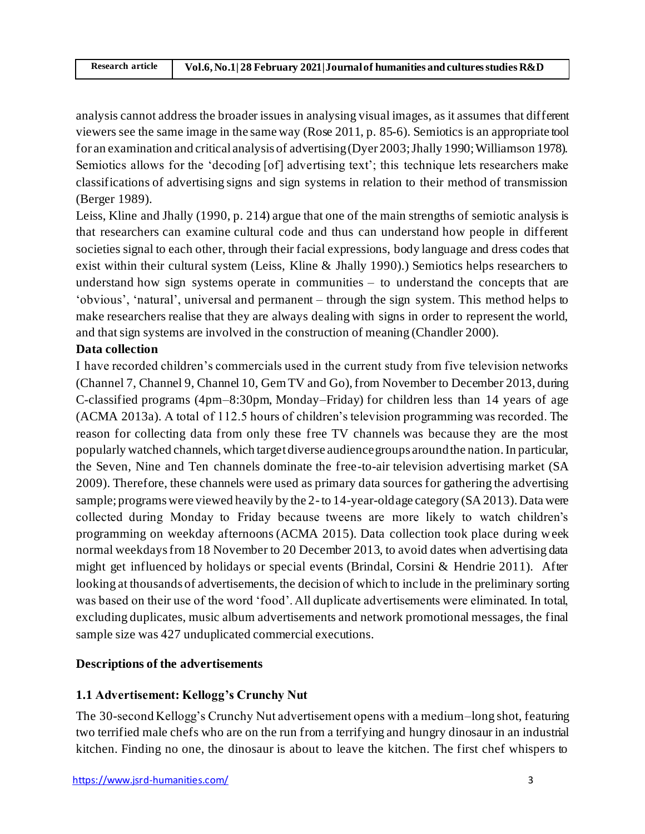analysis cannot address the broader issues in analysing visual images, as it assumes that different viewers see the same image in the same way (Rose 2011, p. 85-6). Semiotics is an appropriate tool for an examination and critical analysis of advertising (Dyer 2003; Jhally 1990; Williamson 1978). Semiotics allows for the 'decoding [of] advertising text'; this technique lets researchers make classifications of advertising signs and sign systems in relation to their method of transmission (Berger 1989).

Leiss, Kline and Jhally (1990, p. 214) argue that one of the main strengths of semiotic analysis is that researchers can examine cultural code and thus can understand how people in different societies signal to each other, through their facial expressions, body language and dress codes that exist within their cultural system (Leiss, Kline & Jhally 1990).) Semiotics helps researchers to understand how sign systems operate in communities – to understand the concepts that are 'obvious', 'natural', universal and permanent – through the sign system. This method helps to make researchers realise that they are always dealing with signs in order to represent the world, and that sign systems are involved in the construction of meaning (Chandler 2000).

#### **Data collection**

I have recorded children's commercials used in the current study from five television networks (Channel 7, Channel 9, Channel 10, Gem TV and Go), from November to December 2013, during C-classified programs (4pm–8:30pm, Monday–Friday) for children less than 14 years of age (ACMA 2013a). A total of 112.5 hours of children's television programming was recorded. The reason for collecting data from only these free TV channels was because they are the most popularly watched channels, which target diverse audience groups around the nation. In particular, the Seven, Nine and Ten channels dominate the free-to-air television advertising market (SA 2009). Therefore, these channels were used as primary data sources for gathering the advertising sample; programs were viewed heavily by the 2-to 14-year-old age category (SA 2013). Data were collected during Monday to Friday because tweens are more likely to watch children's programming on weekday afternoons (ACMA 2015). Data collection took place during week normal weekdays from 18 November to 20 December 2013, to avoid dates when advertising data might get influenced by holidays or special events (Brindal, Corsini & Hendrie 2011). After looking at thousands of advertisements, the decision of which to include in the preliminary sorting was based on their use of the word 'food'. All duplicate advertisements were eliminated. In total, excluding duplicates, music album advertisements and network promotional messages, the final sample size was 427 unduplicated commercial executions.

# **Descriptions of the advertisements**

# **1.1 Advertisement: Kellogg's Crunchy Nut**

The 30-second Kellogg's Crunchy Nut advertisement opens with a medium–long shot, featuring two terrified male chefs who are on the run from a terrifying and hungry dinosaur in an industrial kitchen. Finding no one, the dinosaur is about to leave the kitchen. The first chef whispers to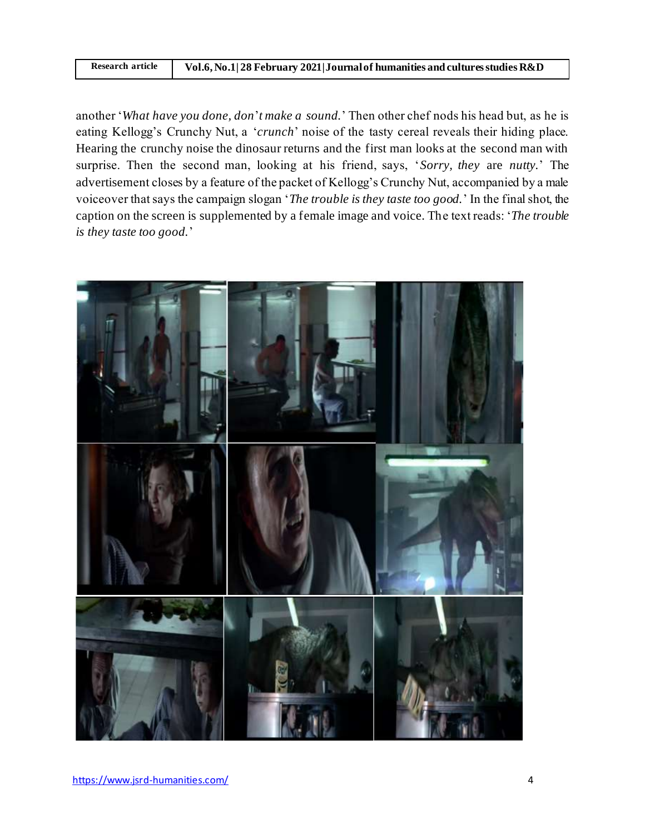Research article

Research

another '*What have you done, don*'*t make a sound.*' Then other chef nods his head but, as he is eating Kellogg's Crunchy Nut, a '*crunch*' noise of the tasty cereal reveals their hiding place. Hearing the crunchy noise the dinosaur returns and the first man looks at the second man with surprise. Then the second man, looking at his friend, says, '*Sorry, they* are *nutty.*' The advertisement closes by a feature of the packet of Kellogg's Crunchy Nut, accompanied by a male voiceover that says the campaign slogan '*The trouble is they taste too good.*' In the final shot, the caption on the screen is supplemented by a female image and voice. The text reads: '*The trouble is they taste too good.*'

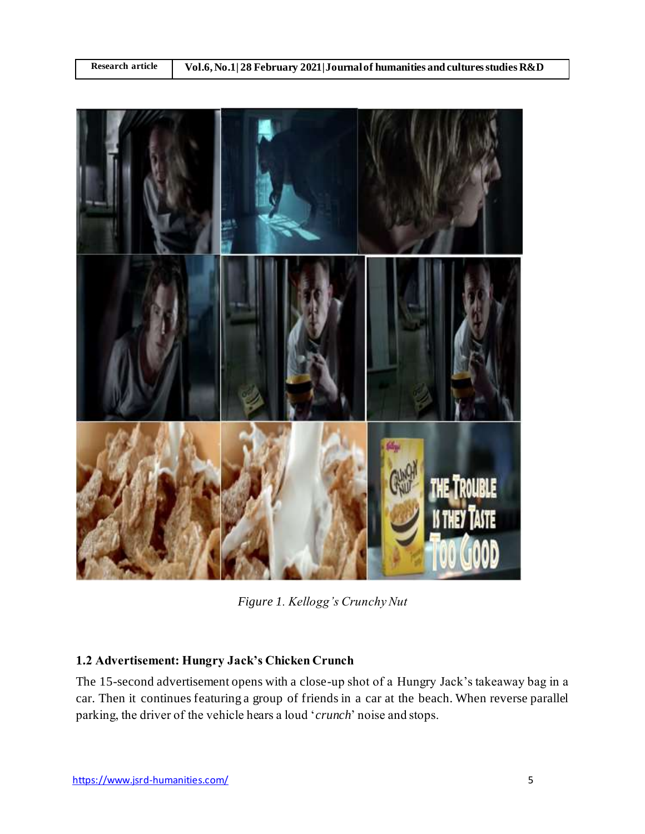

**Research article Vol.6, No.1| 28 February 2021| Journal of humanities and cultures studies R&D**

*Figure 1. Kellogg's Crunchy Nut*

#### **1.2 Advertisement: Hungry Jack's Chicken Crunch**

The 15-second advertisement opens with a close-up shot of a Hungry Jack's takeaway bag in a car. Then it continues featuring a group of friends in a car at the beach. When reverse parallel parking, the driver of the vehicle hears a loud '*crunch*' noise and stops.

Research

Research article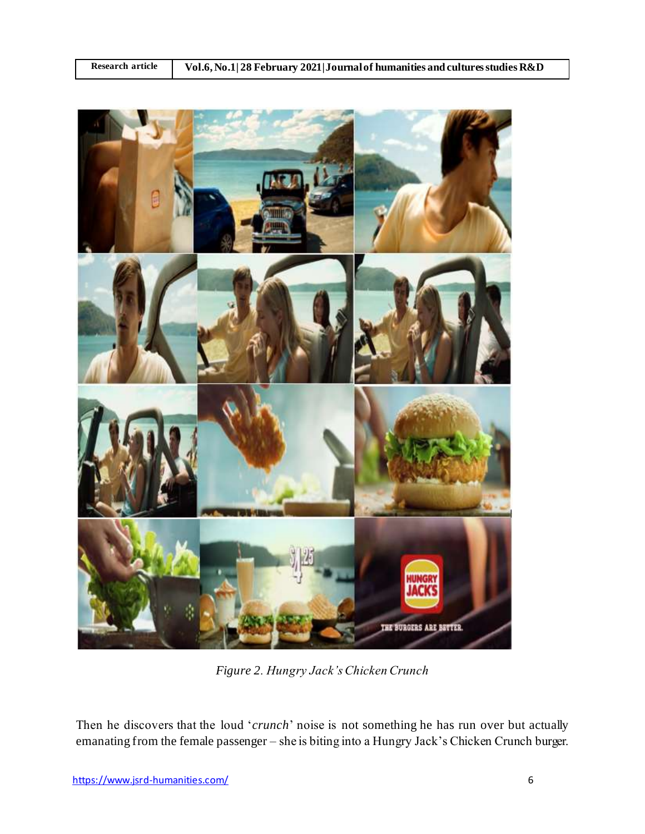

*Figure 2. Hungry Jack's Chicken Crunch*

Then he discovers that the loud '*crunch*' noise is not something he has run over but actually emanating from the female passenger – she is biting into a Hungry Jack's Chicken Crunch burger.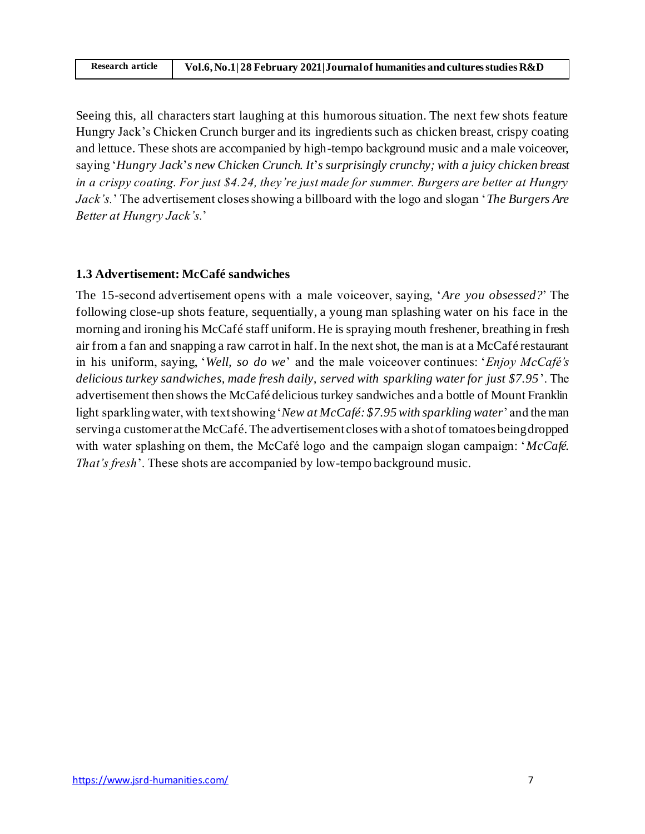Seeing this, all characters start laughing at this humorous situation. The next few shots feature Hungry Jack's Chicken Crunch burger and its ingredients such as chicken breast, crispy coating and lettuce. These shots are accompanied by high-tempo background music and a male voiceover, saying '*Hungry Jack*'*s new Chicken Crunch. It*'*s surprisingly crunchy; with a juicy chicken breast in a crispy coating. For just \$4.24, they're just made for summer. Burgers are better at Hungry Jack's.*' The advertisement closes showing a billboard with the logo and slogan '*The Burgers Are Better at Hungry Jack's.*'

#### **1.3 Advertisement: McCafé sandwiches**

The 15-second advertisement opens with a male voiceover, saying, '*Are you obsessed?*' The following close-up shots feature, sequentially, a young man splashing water on his face in the morning and ironing his McCafé staff uniform. He is spraying mouth freshener, breathing in fresh air from a fan and snapping a raw carrot in half. In the next shot, the man is at a McCafé restaurant in his uniform, saying, '*Well, so do we*' and the male voiceover continues: '*Enjoy McCafé's delicious turkey sandwiches, made fresh daily, served with sparkling water for just \$7.95*'. The advertisement then shows the McCafé delicious turkey sandwiches and a bottle of Mount Franklin light sparkling water, with text showing '*New at McCafé: \$7.95 with sparkling water*' and the man serving a customer at the McCafé. The advertisement closes with a shot of tomatoes being dropped with water splashing on them, the McCafé logo and the campaign slogan campaign: '*McCafé. That's fresh*'. These shots are accompanied by low-tempo background music.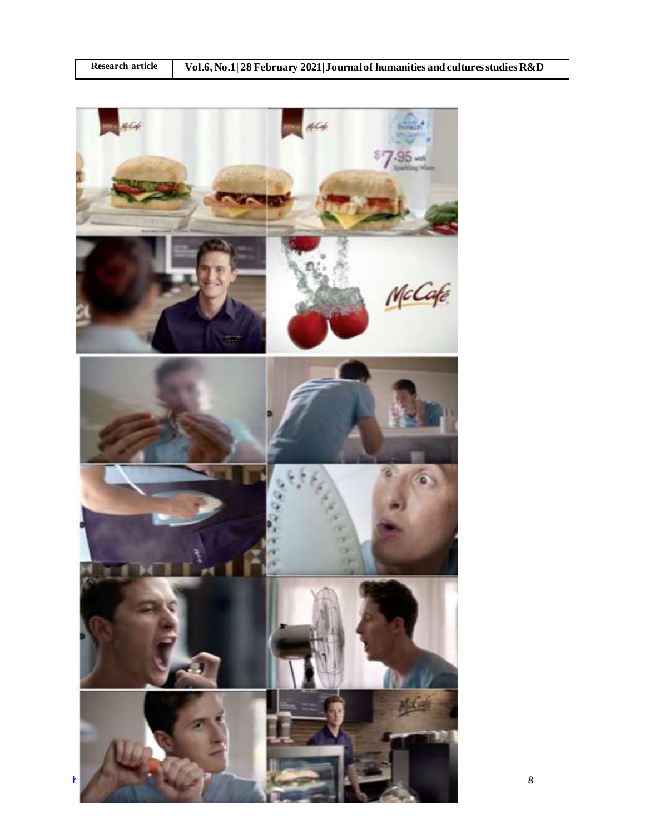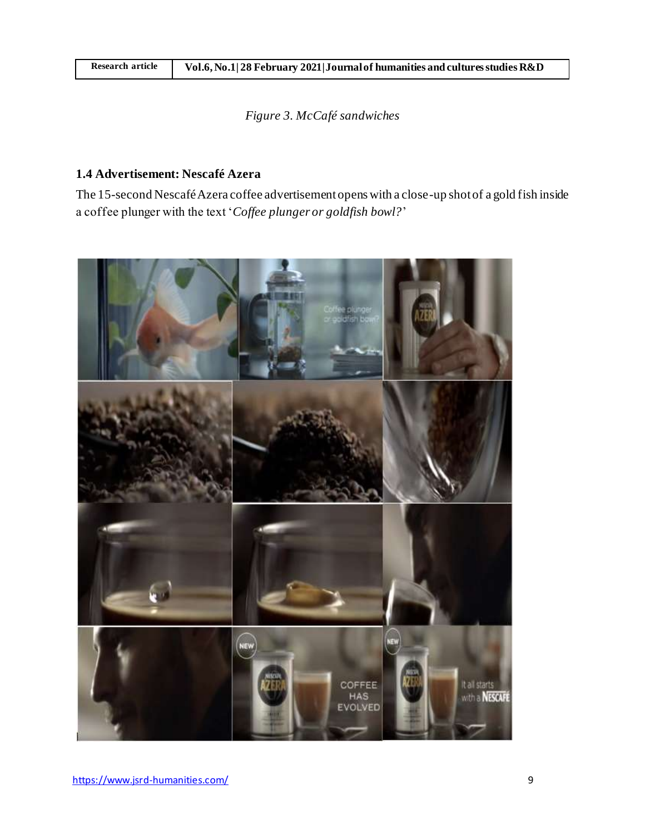*Figure 3. McCafé sandwiches*

#### **1.4 Advertisement: Nescafé Azera**

The 15-second Nescafé Azera coffee advertisement opens with a close-up shot of a gold fish inside a coffee plunger with the text '*Coffee plunger or goldfish bowl?*'

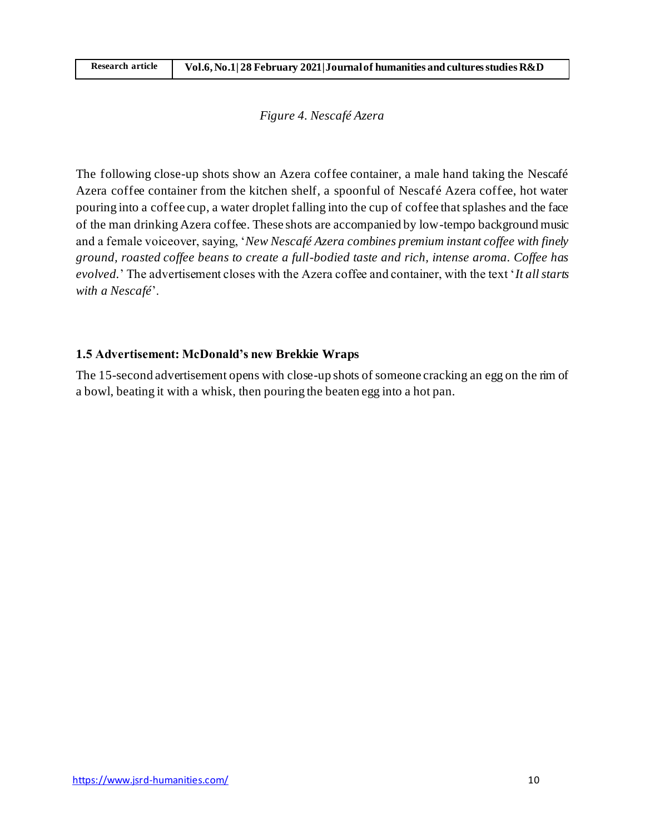*Figure 4. Nescafé Azera*

The following close-up shots show an Azera coffee container, a male hand taking the Nescafé Azera coffee container from the kitchen shelf, a spoonful of Nescafé Azera coffee, hot water pouring into a coffee cup, a water droplet falling into the cup of coffee that splashes and the face of the man drinking Azera coffee. These shots are accompanied by low-tempo background music and a female voiceover, saying, '*New Nescafé Azera combines premium instant coffee with finely ground, roasted coffee beans to create a full-bodied taste and rich, intense aroma. Coffee has evolved.*' The advertisement closes with the Azera coffee and container, with the text '*It all starts with a Nescafé*'.

## **1.5 Advertisement: McDonald's new Brekkie Wraps**

The 15-second advertisement opens with close-up shots of someone cracking an egg on the rim of a bowl, beating it with a whisk, then pouring the beaten egg into a hot pan.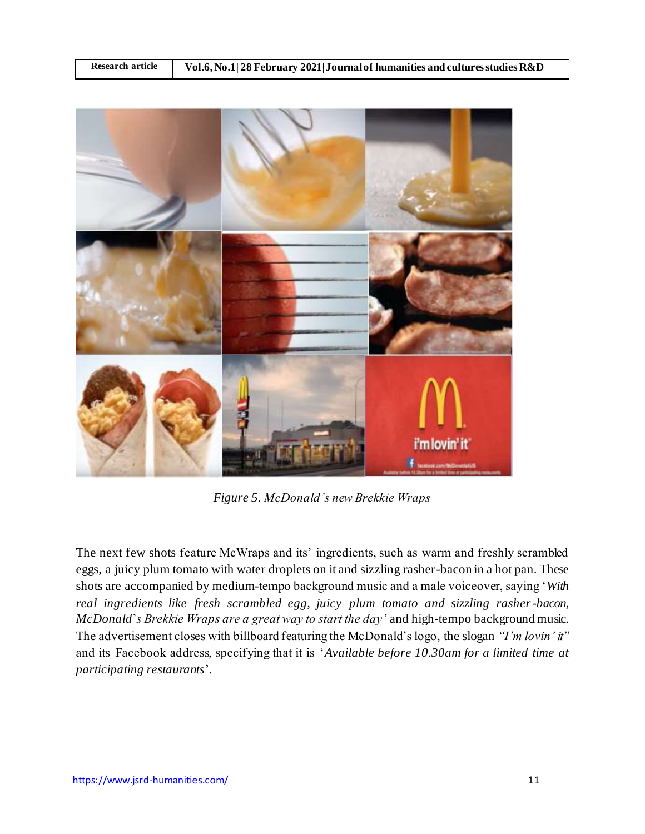

*Figure 5. McDonald's new Brekkie Wraps*

The next few shots feature McWraps and its' ingredients, such as warm and freshly scrambled eggs, a juicy plum tomato with water droplets on it and sizzling rasher-bacon in a hot pan. These shots are accompanied by medium-tempo background music and a male voiceover, saying '*With real ingredients like fresh scrambled egg, juicy plum tomato and sizzling rasher-bacon, McDonald*'*s Brekkie Wraps are a great way to start the day'* and high-tempo background music. The advertisement closes with billboard featuring the McDonald's logo, the slogan *"I'm lovin' it"*  and its Facebook address, specifying that it is '*Available before 10.30am for a limited time at participating restaurants*'.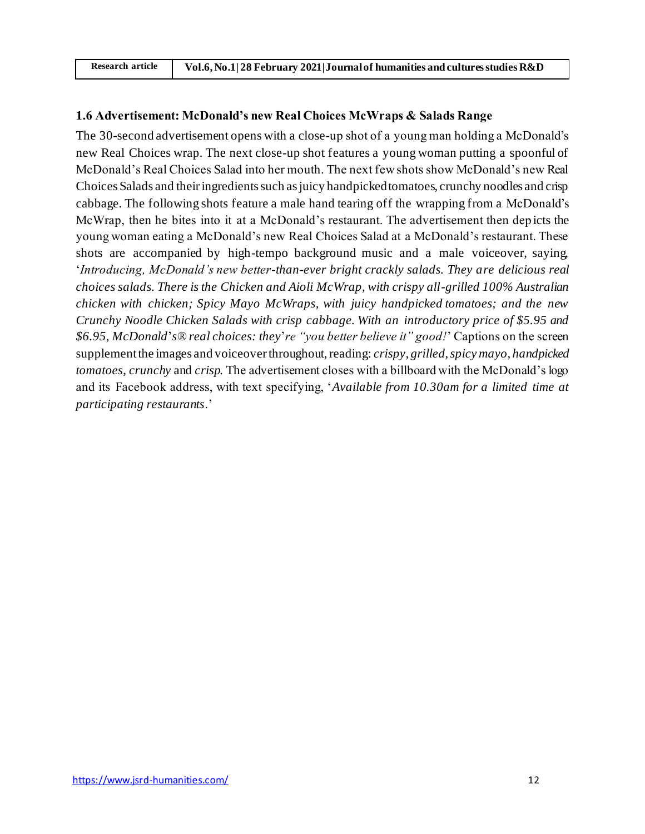#### **1.6 Advertisement: McDonald's new Real Choices McWraps & Salads Range**

The 30-second advertisement opens with a close-up shot of a young man holding a McDonald's new Real Choices wrap. The next close-up shot features a young woman putting a spoonful of McDonald's Real Choices Salad into her mouth. The next few shots show McDonald's new Real Choices Salads and their ingredients such as juicy handpicked tomatoes, crunchy noodles and crisp cabbage. The following shots feature a male hand tearing off the wrapping from a McDonald's McWrap, then he bites into it at a McDonald's restaurant. The advertisement then dep icts the young woman eating a McDonald's new Real Choices Salad at a McDonald's restaurant. These shots are accompanied by high-tempo background music and a male voiceover, saying, '*Introducing, McDonald's new better-than-ever bright crackly salads. They are delicious real choices salads. There is the Chicken and Aioli McWrap, with crispy all-grilled 100% Australian chicken with chicken; Spicy Mayo McWraps, with juicy handpicked tomatoes; and the new Crunchy Noodle Chicken Salads with crisp cabbage. With an introductory price of \$5.95 and \$6.95, McDonald*'*s® real choices: they*'*re "you better believe it" good!*' Captions on the screen supplement the images and voiceover throughout, reading: *crispy, grilled, spicy mayo, handpicked tomatoes*, *crunchy* and *crisp.* The advertisement closes with a billboard with the McDonald's logo and its Facebook address, with text specifying, '*Available from 10.30am for a limited time at participating restaurants*.'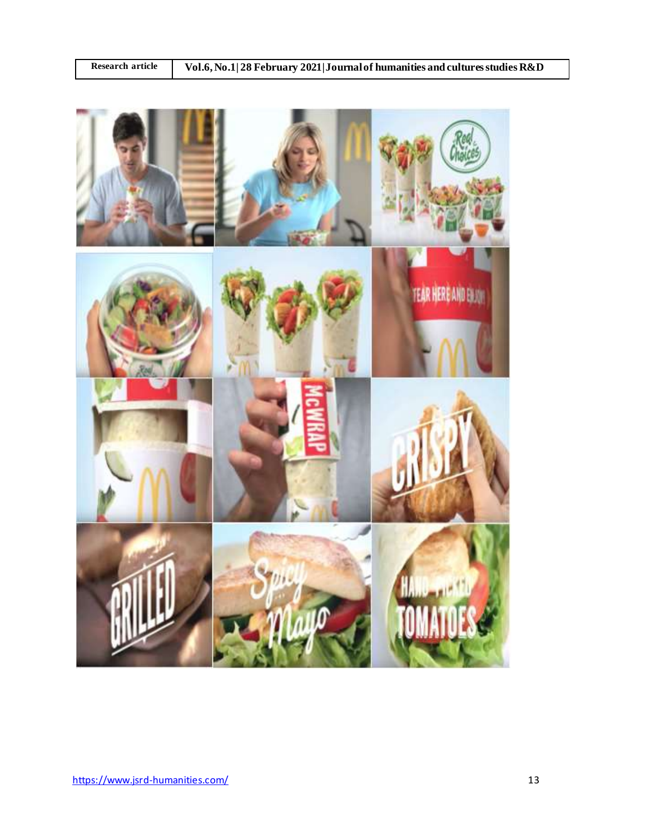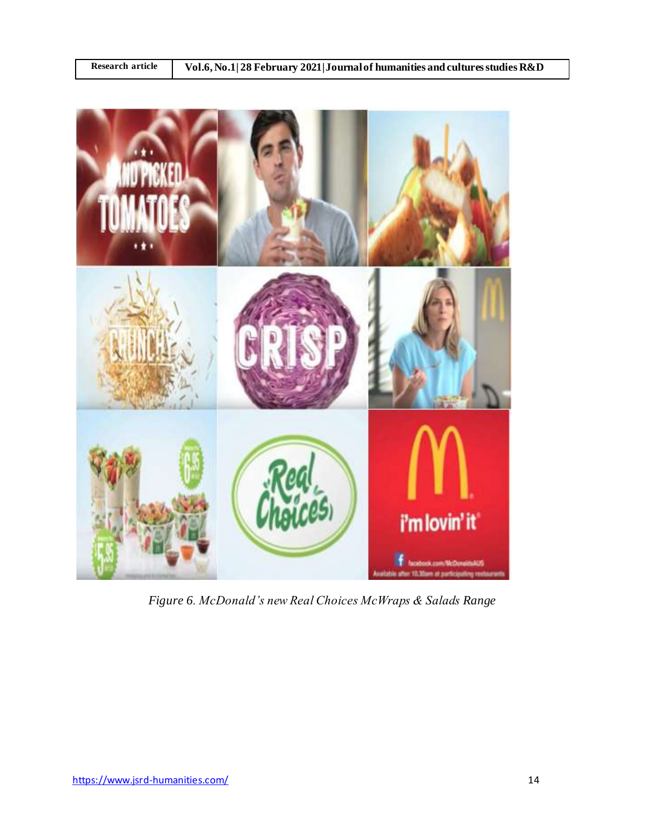

*Figure 6. McDonald's new Real Choices McWraps & Salads Range*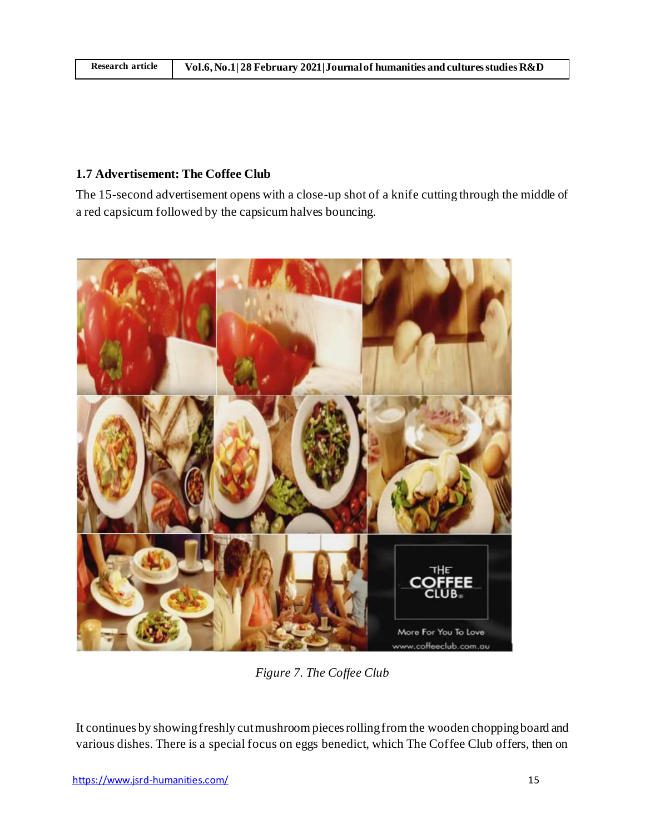## **1.7 Advertisement: The Coffee Club**

The 15-second advertisement opens with a close-up shot of a knife cutting through the middle of a red capsicum followed by the capsicum halves bouncing.



*Figure 7. The Coffee Club*

It continues by showing freshly cut mushroom pieces rolling from the wooden chopping board and various dishes. There is a special focus on eggs benedict, which The Coffee Club offers, then on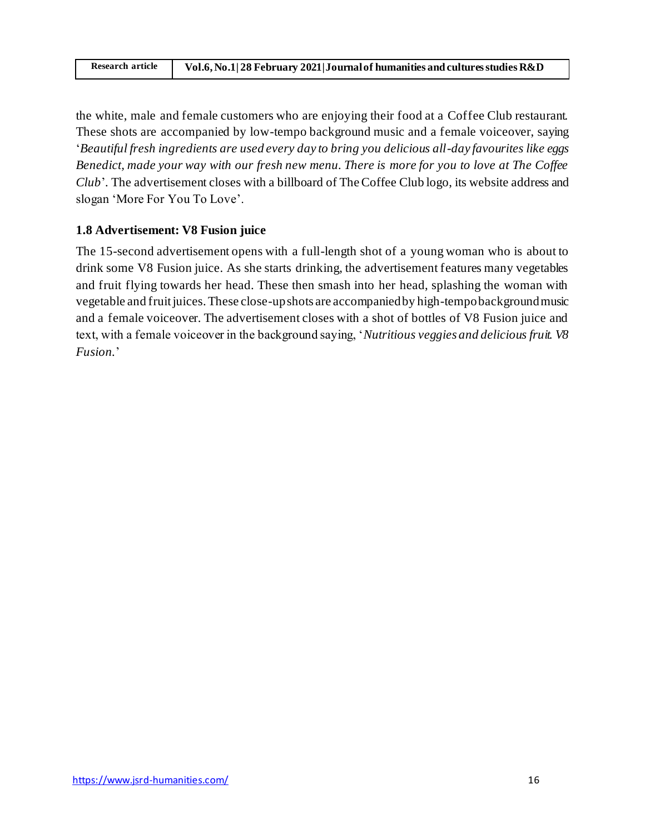| Research article | Vol.6, No.1   28 February 2021   Journal of humanities and cultures studies R&D |
|------------------|---------------------------------------------------------------------------------|

the white, male and female customers who are enjoying their food at a Coffee Club restaurant. These shots are accompanied by low-tempo background music and a female voiceover, saying '*Beautiful fresh ingredients are used every day to bring you delicious all-day favourites like eggs Benedict, made your way with our fresh new menu. There is more for you to love at The Coffee Club*'*.* The advertisement closes with a billboard of The Coffee Club logo, its website address and slogan 'More For You To Love'.

## **1.8 Advertisement: V8 Fusion juice**

The 15-second advertisement opens with a full-length shot of a young woman who is about to drink some V8 Fusion juice. As she starts drinking, the advertisement features many vegetables and fruit flying towards her head. These then smash into her head, splashing the woman with vegetable and fruit juices. These close-up shots are accompanied by high-tempo background music and a female voiceover. The advertisement closes with a shot of bottles of V8 Fusion juice and text, with a female voiceover in the background saying, '*Nutritious veggies and delicious fruit. V8 Fusion.*'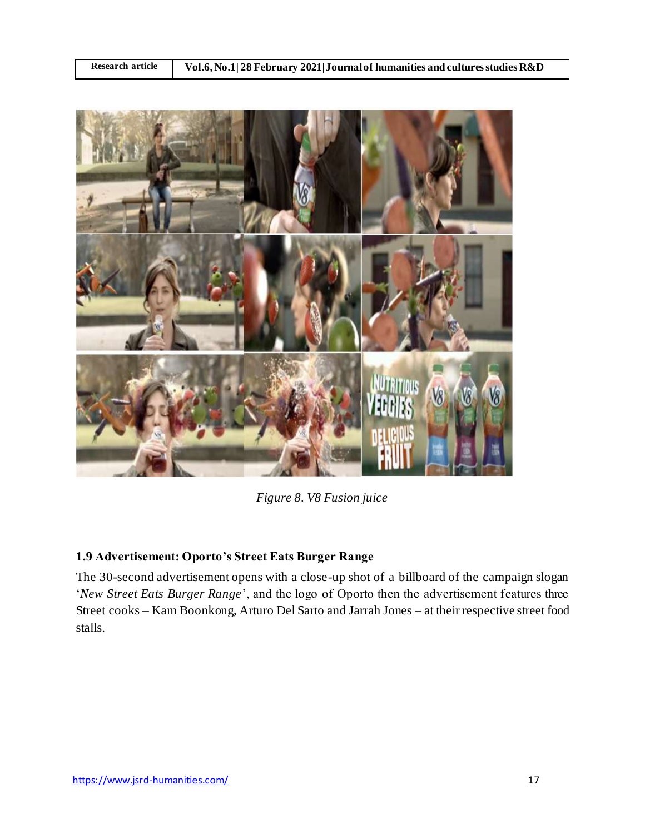

*Figure 8. V8 Fusion juice*

# **1.9 Advertisement: Oporto's Street Eats Burger Range**

The 30-second advertisement opens with a close-up shot of a billboard of the campaign slogan '*New Street Eats Burger Range*', and the logo of Oporto then the advertisement features three Street cooks – Kam Boonkong, Arturo Del Sarto and Jarrah Jones – at their respective street food stalls.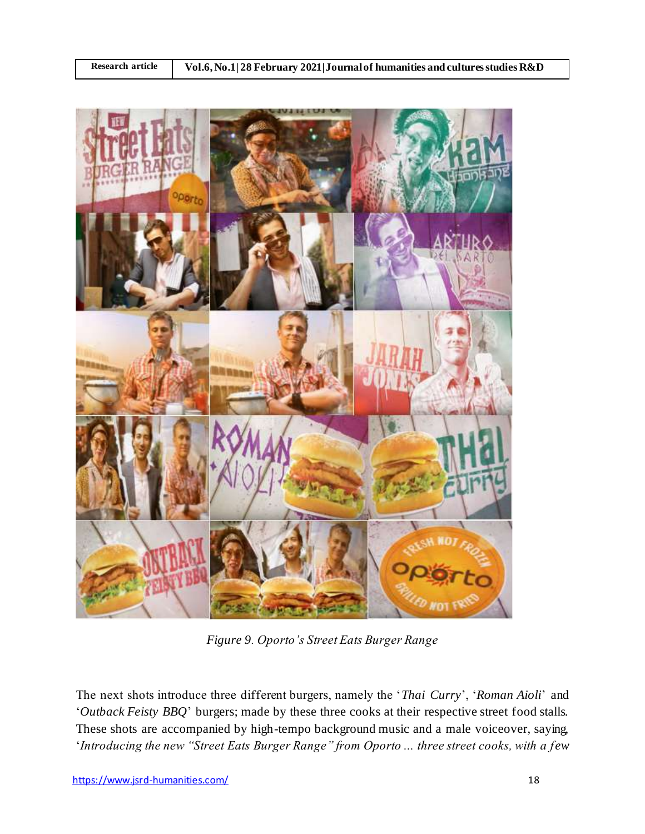

*Figure 9. Oporto's Street Eats Burger Range*

The next shots introduce three different burgers, namely the '*Thai Curry*', '*Roman Aioli*' and '*Outback Feisty BBQ*' burgers; made by these three cooks at their respective street food stalls. These shots are accompanied by high-tempo background music and a male voiceover, saying, '*Introducing the new "Street Eats Burger Range" from Oporto ... three street cooks, with a few*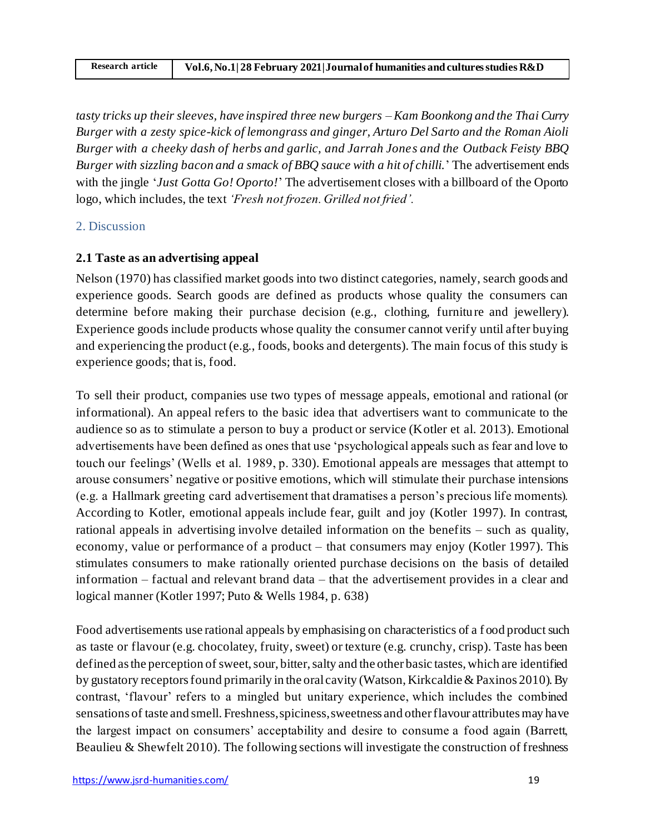*tasty tricks up their sleeves, have inspired three new burgers –Kam Boonkong and the Thai Curry Burger with a zesty spice-kick of lemongrass and ginger, Arturo Del Sarto and the Roman Aioli Burger with a cheeky dash of herbs and garlic, and Jarrah Jones and the Outback Feisty BBQ Burger with sizzling bacon and a smack of BBQ sauce with a hit of chilli.*' The advertisement ends with the jingle '*Just Gotta Go! Oporto!*' The advertisement closes with a billboard of the Oporto logo, which includes, the text *'Fresh not frozen. Grilled not fried'.*

#### 2. Discussion

## **2.1 Taste as an advertising appeal**

Nelson (1970) has classified market goods into two distinct categories, namely, search goods and experience goods. Search goods are defined as products whose quality the consumers can determine before making their purchase decision (e.g., clothing, furniture and jewellery). Experience goods include products whose quality the consumer cannot verify until after buying and experiencing the product (e.g., foods, books and detergents). The main focus of this study is experience goods; that is, food.

To sell their product, companies use two types of message appeals, emotional and rational (or informational). An appeal refers to the basic idea that advertisers want to communicate to the audience so as to stimulate a person to buy a product or service (Kotler et al. 2013). Emotional advertisements have been defined as ones that use 'psychological appeals such as fear and love to touch our feelings' (Wells et al. 1989, p. 330). Emotional appeals are messages that attempt to arouse consumers' negative or positive emotions, which will stimulate their purchase intensions (e.g. a Hallmark greeting card advertisement that dramatises a person's precious life moments). According to Kotler, emotional appeals include fear, guilt and joy (Kotler 1997). In contrast, rational appeals in advertising involve detailed information on the benefits – such as quality, economy, value or performance of a product – that consumers may enjoy (Kotler 1997). This stimulates consumers to make rationally oriented purchase decisions on the basis of detailed information – factual and relevant brand data – that the advertisement provides in a clear and logical manner (Kotler 1997; Puto & Wells 1984, p. 638)

Food advertisements use rational appeals by emphasising on characteristics of a f ood product such as taste or flavour (e.g. chocolatey, fruity, sweet) or texture (e.g. crunchy, crisp). Taste has been defined as the perception of sweet, sour, bitter, salty and the other basic tastes, which are identified by gustatory receptors found primarily in the oral cavity (Watson, Kirkcaldie & Paxinos 2010). By contrast, 'flavour' refers to a mingled but unitary experience, which includes the combined sensations of taste and smell. Freshness, spiciness, sweetness and other flavour attributes may have the largest impact on consumers' acceptability and desire to consume a food again (Barrett, Beaulieu & Shewfelt 2010). The following sections will investigate the construction of freshness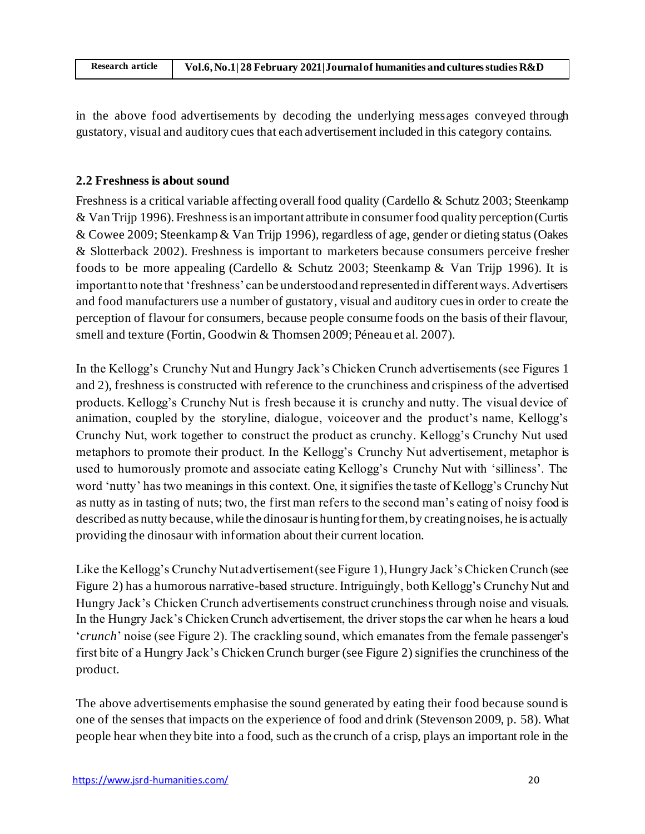in the above food advertisements by decoding the underlying messages conveyed through gustatory, visual and auditory cues that each advertisement included in this category contains.

#### **2.2 Freshness is about sound**

Freshness is a critical variable affecting overall food quality (Cardello & Schutz 2003; Steenkamp & Van Trijp 1996). Freshness is an important attribute in consumer food quality perception (Curtis & Cowee 2009; Steenkamp & Van Trijp 1996), regardless of age, gender or dieting status (Oakes & Slotterback 2002). Freshness is important to marketers because consumers perceive fresher foods to be more appealing (Cardello & Schutz 2003; Steenkamp & Van Trijp 1996). It is important to note that 'freshness' can be understood and represented in different ways. Advertisers and food manufacturers use a number of gustatory, visual and auditory cues in order to create the perception of flavour for consumers, because people consume foods on the basis of their flavour, smell and texture (Fortin, Goodwin & Thomsen 2009; Péneau et al. 2007).

In the Kellogg's Crunchy Nut and Hungry Jack's Chicken Crunch advertisements (see Figures 1 and 2), freshness is constructed with reference to the crunchiness and crispiness of the advertised products. Kellogg's Crunchy Nut is fresh because it is crunchy and nutty. The visual device of animation, coupled by the storyline, dialogue, voiceover and the product's name, Kellogg's Crunchy Nut, work together to construct the product as crunchy. Kellogg's Crunchy Nut used metaphors to promote their product. In the Kellogg's Crunchy Nut advertisement, metaphor is used to humorously promote and associate eating Kellogg's Crunchy Nut with 'silliness'. The word 'nutty' has two meanings in this context. One, it signifies the taste of Kellogg's Crunchy Nut as nutty as in tasting of nuts; two, the first man refers to the second man's eating of noisy food is described as nutty because, while the dinosaur is hunting for them, by creating noises, he is actually providing the dinosaur with information about their current location.

Like the Kellogg's Crunchy Nut advertisement (see Figure 1), Hungry Jack's Chicken Crunch (see Figure 2) has a humorous narrative-based structure. Intriguingly, both Kellogg's Crunchy Nut and Hungry Jack's Chicken Crunch advertisements construct crunchiness through noise and visuals. In the Hungry Jack's Chicken Crunch advertisement, the driver stops the car when he hears a loud '*crunch*' noise (see Figure 2). The crackling sound, which emanates from the female passenger's first bite of a Hungry Jack's Chicken Crunch burger (see Figure 2) signifies the crunchiness of the product.

The above advertisements emphasise the sound generated by eating their food because sound is one of the senses that impacts on the experience of food and drink (Stevenson 2009, p. 58). What people hear when they bite into a food, such as the crunch of a crisp, plays an important role in the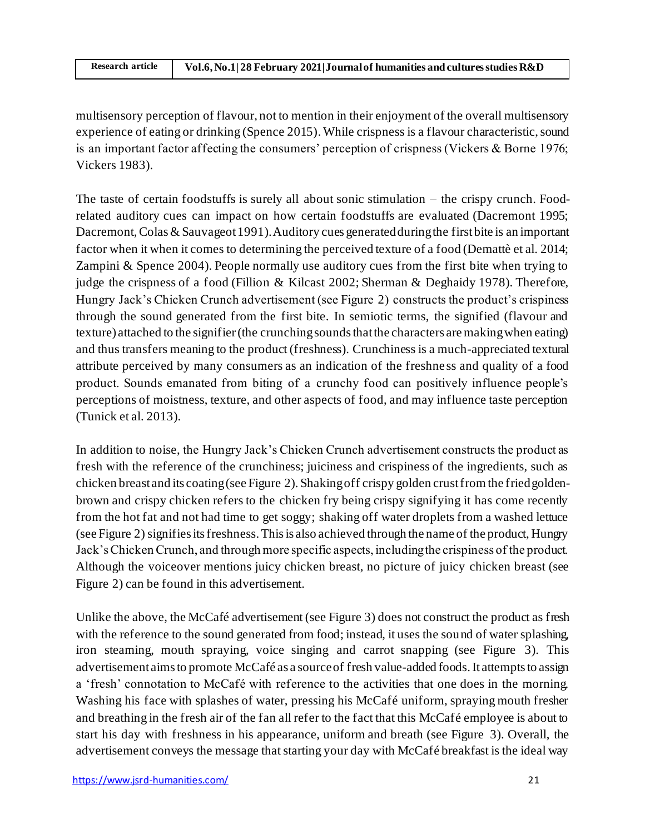| Research article | Vol.6, No.1   28 February 2021   Journal of humanities and cultures studies R&D |
|------------------|---------------------------------------------------------------------------------|

multisensory perception of flavour, not to mention in their enjoyment of the overall multisensory experience of eating or drinking (Spence 2015). While crispness is a flavour characteristic, sound is an important factor affecting the consumers' perception of crispness (Vickers & Borne 1976; Vickers 1983).

The taste of certain foodstuffs is surely all about sonic stimulation – the crispy crunch. Foodrelated auditory cues can impact on how certain foodstuffs are evaluated (Dacremont 1995; Dacremont, Colas & Sauvageot 1991). Auditory cues generated during the first bite is an important factor when it when it comes to determining the perceived texture of a food (Demattè et al. 2014; Zampini & Spence 2004). People normally use auditory cues from the first bite when trying to judge the crispness of a food (Fillion & Kilcast 2002; Sherman & Deghaidy 1978). Therefore, Hungry Jack's Chicken Crunch advertisement (see Figure 2) constructs the product's crispiness through the sound generated from the first bite. In semiotic terms, the signified (flavour and texture) attached to the signifier (the crunching sounds that the characters are making when eating) and thus transfers meaning to the product (freshness). Crunchiness is a much-appreciated textural attribute perceived by many consumers as an indication of the freshne ss and quality of a food product. Sounds emanated from biting of a crunchy food can positively influence people's perceptions of moistness, texture, and other aspects of food, and may influence taste perception (Tunick et al. 2013).

In addition to noise, the Hungry Jack's Chicken Crunch advertisement constructs the product as fresh with the reference of the crunchiness; juiciness and crispiness of the ingredients, such as chicken breast and its coating (see Figure 2). Shaking off crispy golden crust from the fried goldenbrown and crispy chicken refers to the chicken fry being crispy signifying it has come recently from the hot fat and not had time to get soggy; shaking off water droplets from a washed lettuce (see Figure 2) signifies its freshness. This is also achieved through the name of the product, Hungry Jack's Chicken Crunch, and through more specific aspects, including the crispiness of the product. Although the voiceover mentions juicy chicken breast, no picture of juicy chicken breast (see Figure 2) can be found in this advertisement.

Unlike the above, the McCafé advertisement (see Figure 3) does not construct the product as fresh with the reference to the sound generated from food; instead, it uses the sound of water splashing, iron steaming, mouth spraying, voice singing and carrot snapping (see Figure 3). This advertisement aims to promote McCafé as a source of fresh value-added foods. It attempts to assign a 'fresh' connotation to McCafé with reference to the activities that one does in the morning. Washing his face with splashes of water, pressing his McCafé uniform, spraying mouth fresher and breathing in the fresh air of the fan all refer to the fact that this McCafé employee is about to start his day with freshness in his appearance, uniform and breath (see Figure 3). Overall, the advertisement conveys the message that starting your day with McCafé breakfast is the ideal way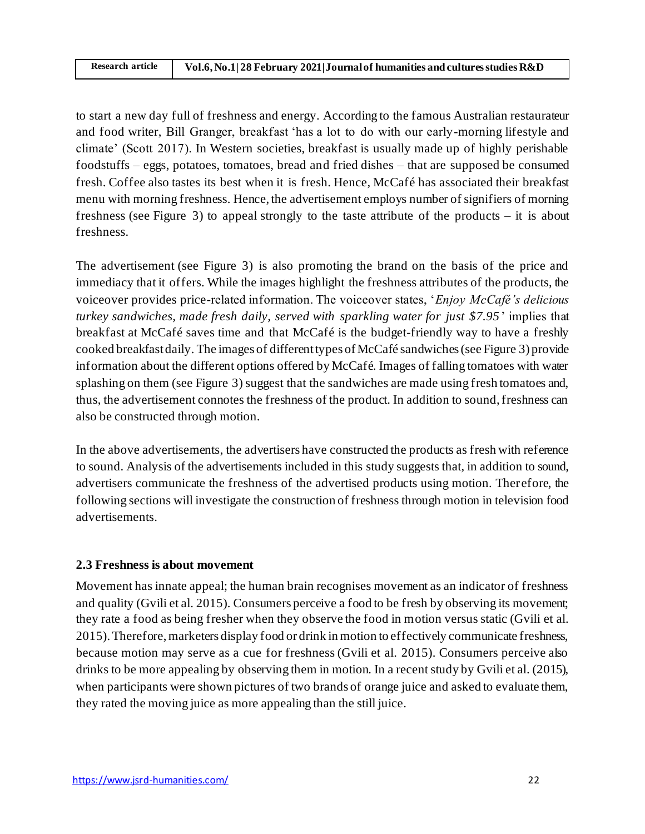to start a new day full of freshness and energy. According to the famous Australian restaurateur and food writer, Bill Granger, breakfast 'has a lot to do with our early-morning lifestyle and climate' (Scott 2017). In Western societies, breakfast is usually made up of highly perishable foodstuffs – eggs, potatoes, tomatoes, bread and fried dishes – that are supposed be consumed fresh. Coffee also tastes its best when it is fresh. Hence, McCafé has associated their breakfast menu with morning freshness. Hence, the advertisement employs number of signifiers of morning freshness (see Figure 3) to appeal strongly to the taste attribute of the products – it is about freshness.

The advertisement (see Figure 3) is also promoting the brand on the basis of the price and immediacy that it offers. While the images highlight the freshness attributes of the products, the voiceover provides price-related information. The voiceover states, '*Enjoy McCafé's delicious turkey sandwiches, made fresh daily, served with sparkling water for just \$7.95* ' implies that breakfast at McCafé saves time and that McCafé is the budget-friendly way to have a freshly cooked breakfast daily. The images of different types of McCafé sandwiches (see Figure 3) provide information about the different options offered by McCafé. Images of falling tomatoes with water splashing on them (see Figure 3) suggest that the sandwiches are made using fresh tomatoes and, thus, the advertisement connotes the freshness of the product. In addition to sound, freshness can also be constructed through motion.

In the above advertisements, the advertisers have constructed the products as fresh with reference to sound. Analysis of the advertisements included in this study suggests that, in addition to sound, advertisers communicate the freshness of the advertised products using motion. Therefore, the following sections will investigate the construction of freshness through motion in television food advertisements.

#### **2.3 Freshness is about movement**

Movement has innate appeal; the human brain recognises movement as an indicator of freshness and quality (Gvili et al. 2015). Consumers perceive a food to be fresh by observing its movement; they rate a food as being fresher when they observe the food in motion versus static (Gvili et al. 2015). Therefore, marketers display food or drink in motion to effectively communicate freshness, because motion may serve as a cue for freshness (Gvili et al. 2015). Consumers perceive also drinks to be more appealing by observing them in motion. In a recent study by Gvili et al. (2015), when participants were shown pictures of two brands of orange juice and asked to evaluate them, they rated the moving juice as more appealing than the still juice.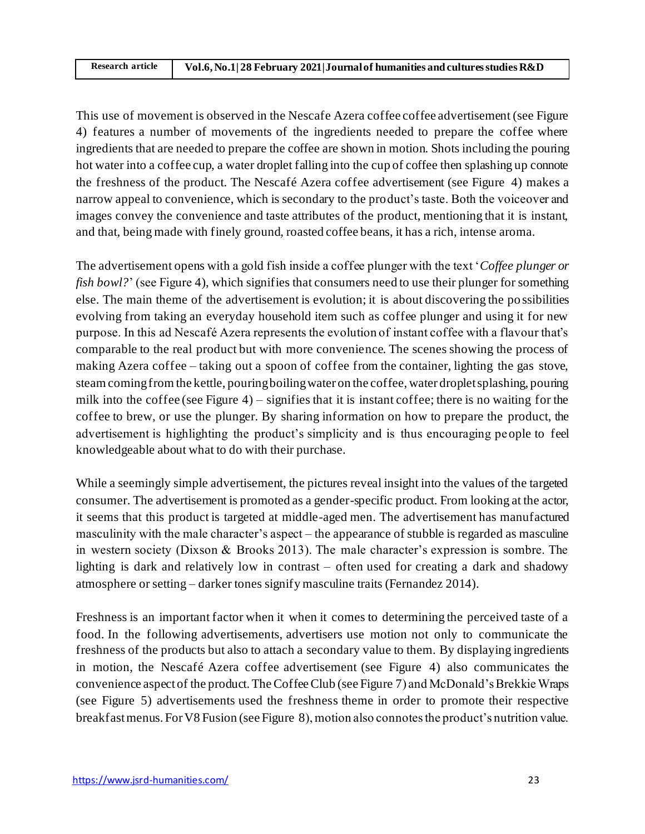This use of movement is observed in the Nescafe Azera coffee coffee advertisement (see Figure 4) features a number of movements of the ingredients needed to prepare the coffee where ingredients that are needed to prepare the coffee are shown in motion. Shots including the pouring hot water into a coffee cup, a water droplet falling into the cup of coffee then splashing up connote the freshness of the product. The Nescafé Azera coffee advertisement (see Figure 4) makes a narrow appeal to convenience, which is secondary to the product's taste. Both the voiceover and images convey the convenience and taste attributes of the product, mentioning that it is instant, and that, being made with finely ground, roasted coffee beans, it has a rich, intense aroma.

The advertisement opens with a gold fish inside a coffee plunger with the text '*Coffee plunger or fish bowl?*' (see Figure 4), which signifies that consumers need to use their plunger for something else. The main theme of the advertisement is evolution; it is about discovering the po ssibilities evolving from taking an everyday household item such as coffee plunger and using it for new purpose. In this ad Nescafé Azera represents the evolution of instant coffee with a flavour that's comparable to the real product but with more convenience. The scenes showing the process of making Azera coffee – taking out a spoon of coffee from the container, lighting the gas stove, steam coming from the kettle, pouring boiling water on the coffee, water droplet splashing, pouring milk into the coffee (see Figure 4) – signifies that it is instant coffee; there is no waiting for the coffee to brew, or use the plunger. By sharing information on how to prepare the product, the advertisement is highlighting the product's simplicity and is thus encouraging people to feel knowledgeable about what to do with their purchase.

While a seemingly simple advertisement, the pictures reveal insight into the values of the targeted consumer. The advertisement is promoted as a gender-specific product. From looking at the actor, it seems that this product is targeted at middle-aged men. The advertisement has manufactured masculinity with the male character's aspect – the appearance of stubble is regarded as masculine in western society (Dixson & Brooks 2013). The male character's expression is sombre. The lighting is dark and relatively low in contrast – often used for creating a dark and shadowy atmosphere or setting – darker tones signify masculine traits (Fernandez 2014).

Freshness is an important factor when it when it comes to determining the perceived taste of a food. In the following advertisements, advertisers use motion not only to communicate the freshness of the products but also to attach a secondary value to them. By displaying ingredients in motion, the Nescafé Azera coffee advertisement (see Figure 4) also communicates the convenience aspect of the product. The Coffee Club (see Figure 7) and McDonald's Brekkie Wraps (see Figure 5) advertisements used the freshness theme in order to promote their respective breakfast menus. For V8 Fusion (see Figure 8), motion also connotes the product's nutrition value.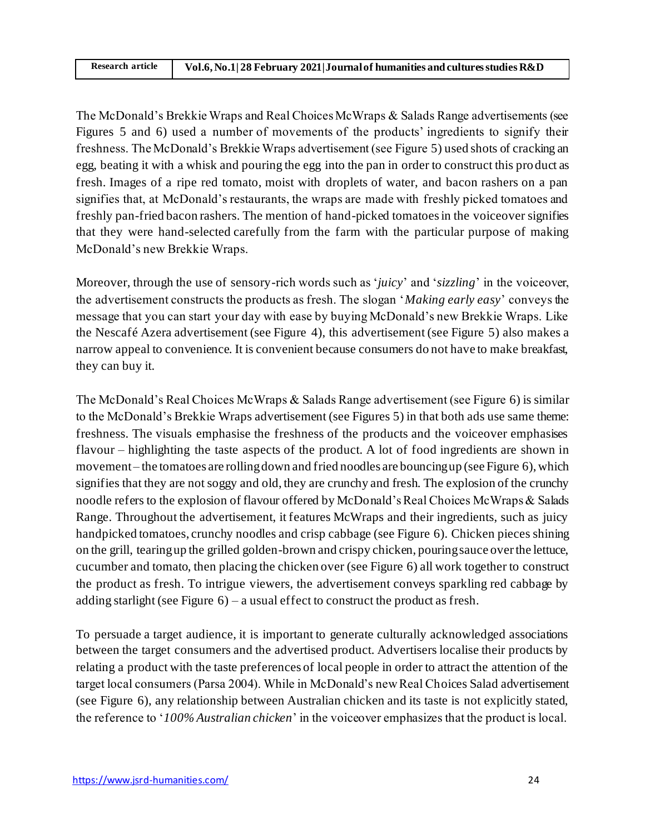The McDonald's Brekkie Wraps and Real Choices McWraps & Salads Range advertisements (see Figures 5 and 6) used a number of movements of the products' ingredients to signify their freshness. The McDonald's Brekkie Wraps advertisement (see Figure 5) used shots of cracking an egg, beating it with a whisk and pouring the egg into the pan in order to construct this product as fresh. Images of a ripe red tomato, moist with droplets of water, and bacon rashers on a pan signifies that, at McDonald's restaurants, the wraps are made with freshly picked tomatoes and freshly pan-fried bacon rashers. The mention of hand-picked tomatoes in the voiceover signifies that they were hand-selected carefully from the farm with the particular purpose of making McDonald's new Brekkie Wraps.

Moreover, through the use of sensory-rich words such as '*juicy*' and '*sizzling*' in the voiceover, the advertisement constructs the products as fresh. The slogan '*Making early easy*' conveys the message that you can start your day with ease by buying McDonald's new Brekkie Wraps. Like the Nescafé Azera advertisement (see Figure 4), this advertisement (see Figure 5) also makes a narrow appeal to convenience. It is convenient because consumers do not have to make breakfast, they can buy it.

The McDonald's Real Choices McWraps & Salads Range advertisement (see Figure 6) is similar to the McDonald's Brekkie Wraps advertisement (see Figures 5) in that both ads use same theme: freshness. The visuals emphasise the freshness of the products and the voiceover emphasises flavour – highlighting the taste aspects of the product. A lot of food ingredients are shown in movement – the tomatoes are rolling down and fried noodles are bouncing up (see Figure 6), which signifies that they are not soggy and old, they are crunchy and fresh. The explosion of the crunchy noodle refers to the explosion of flavour offered by McDonald's Real Choices McWraps & Salads Range. Throughout the advertisement, it features McWraps and their ingredients, such as juicy handpicked tomatoes, crunchy noodles and crisp cabbage (see Figure 6). Chicken pieces shining on the grill, tearing up the grilled golden-brown and crispy chicken, pouring sauce over the lettuce, cucumber and tomato, then placing the chicken over (see Figure 6) all work together to construct the product as fresh. To intrigue viewers, the advertisement conveys sparkling red cabbage by adding starlight (see Figure  $6$ ) – a usual effect to construct the product as fresh.

To persuade a target audience, it is important to generate culturally acknowledged associations between the target consumers and the advertised product. Advertisers localise their products by relating a product with the taste preferences of local people in order to attract the attention of the target local consumers (Parsa 2004). While in McDonald's new Real Choices Salad advertisement (see Figure 6), any relationship between Australian chicken and its taste is not explicitly stated, the reference to '*100% Australian chicken*' in the voiceover emphasizes that the product is local.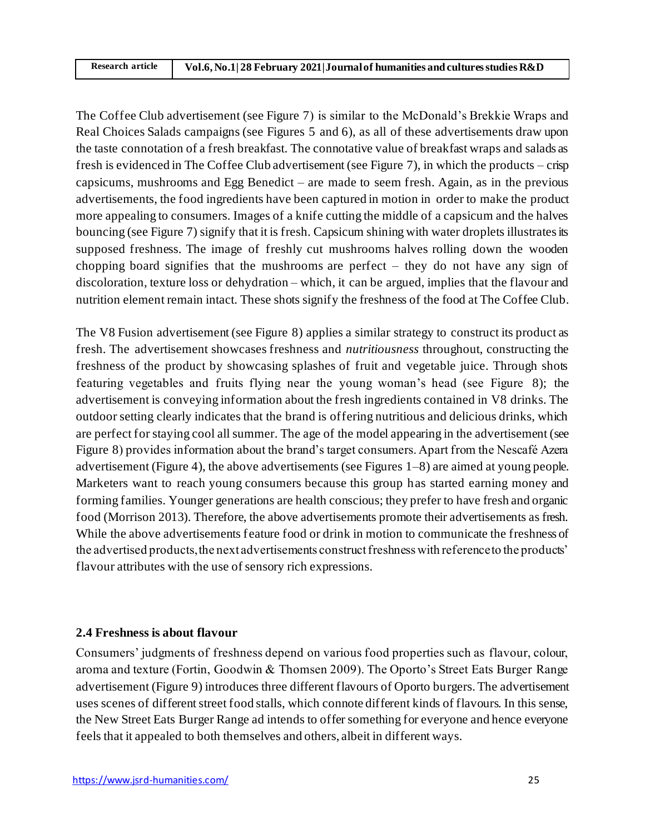The Coffee Club advertisement (see Figure 7) is similar to the McDonald's Brekkie Wraps and Real Choices Salads campaigns (see Figures 5 and 6), as all of these advertisements draw upon the taste connotation of a fresh breakfast. The connotative value of breakfast wraps and salads as fresh is evidenced in The Coffee Club advertisement (see Figure 7), in which the products – crisp capsicums, mushrooms and Egg Benedict – are made to seem fresh. Again, as in the previous advertisements, the food ingredients have been captured in motion in order to make the product more appealing to consumers. Images of a knife cutting the middle of a capsicum and the halves bouncing (see Figure 7) signify that it is fresh. Capsicum shining with water droplets illustrates its supposed freshness. The image of freshly cut mushrooms halves rolling down the wooden chopping board signifies that the mushrooms are perfect – they do not have any sign of discoloration, texture loss or dehydration – which, it can be argued, implies that the flavour and nutrition element remain intact. These shots signify the freshness of the food at The Coffee Club.

The V8 Fusion advertisement (see Figure 8) applies a similar strategy to construct its product as fresh. The advertisement showcases freshness and *nutritiousness* throughout, constructing the freshness of the product by showcasing splashes of fruit and vegetable juice. Through shots featuring vegetables and fruits flying near the young woman's head (see Figure 8); the advertisement is conveying information about the fresh ingredients contained in V8 drinks. The outdoor setting clearly indicates that the brand is offering nutritious and delicious drinks, which are perfect for staying cool all summer. The age of the model appearing in the advertisement (see Figure 8) provides information about the brand's target consumers. Apart from the Nescafé Azera advertisement (Figure 4), the above advertisements (see Figures 1–8) are aimed at young people. Marketers want to reach young consumers because this group has started earning money and forming families. Younger generations are health conscious; they prefer to have fresh and organic food (Morrison 2013). Therefore, the above advertisements promote their advertisements as fresh. While the above advertisements feature food or drink in motion to communicate the freshness of the advertised products, the next advertisements construct freshness with reference to the products' flavour attributes with the use of sensory rich expressions.

#### **2.4 Freshness is about flavour**

Consumers' judgments of freshness depend on various food properties such as flavour, colour, aroma and texture (Fortin, Goodwin & Thomsen 2009). The Oporto's Street Eats Burger Range advertisement (Figure 9) introduces three different flavours of Oporto burgers. The advertisement uses scenes of different street food stalls, which connote different kinds of flavours. In this sense, the New Street Eats Burger Range ad intends to offer something for everyone and hence everyone feels that it appealed to both themselves and others, albeit in different ways.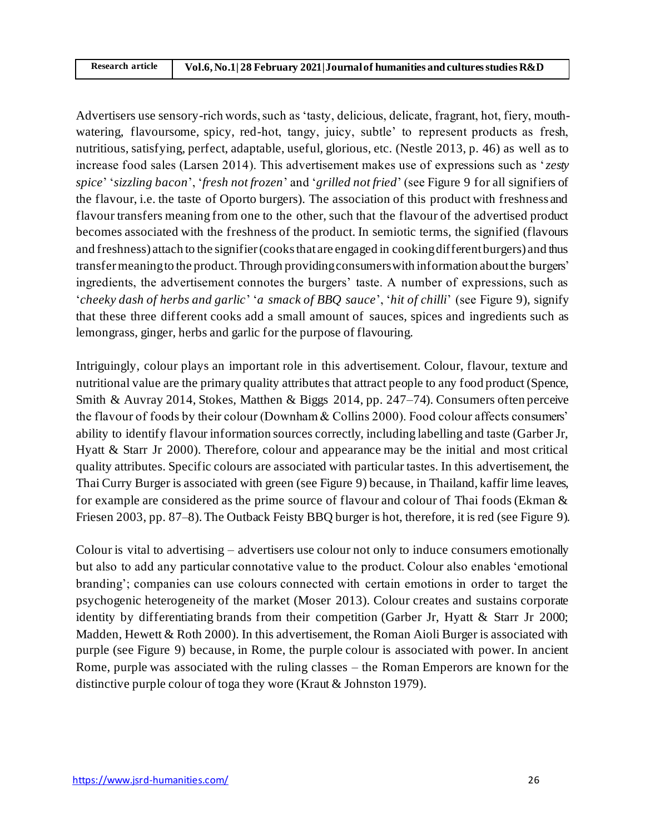Advertisers use sensory-rich words, such as 'tasty, delicious, delicate, fragrant, hot, fiery, mouthwatering, flavoursome, spicy, red-hot, tangy, juicy, subtle' to represent products as fresh, nutritious, satisfying, perfect, adaptable, useful, glorious, etc. (Nestle 2013, p. 46) as well as to increase food sales (Larsen 2014). This advertisement makes use of expressions such as '*zesty spice*' '*sizzling bacon*', '*fresh not frozen*' and '*grilled not fried*' (see Figure 9 for all signifiers of the flavour, i.e. the taste of Oporto burgers). The association of this product with freshness and flavour transfers meaning from one to the other, such that the flavour of the advertised product becomes associated with the freshness of the product. In semiotic terms, the signified (flavours and freshness) attach to the signifier (cooks that are engaged in cooking different burgers) and thus transfer meaning to the product. Through providing consumers with information about the burgers' ingredients, the advertisement connotes the burgers' taste. A number of expressions, such as '*cheeky dash of herbs and garlic*' '*a smack of BBQ sauce*', '*hit of chilli*' (see Figure 9), signify that these three different cooks add a small amount of sauces, spices and ingredients such as lemongrass, ginger, herbs and garlic for the purpose of flavouring.

Intriguingly, colour plays an important role in this advertisement. Colour, flavour, texture and nutritional value are the primary quality attributes that attract people to any food product (Spence, Smith & Auvray 2014, Stokes, Matthen & Biggs 2014, pp. 247–74). Consumers often perceive the flavour of foods by their colour (Downham & Collins 2000). Food colour affects consumers' ability to identify flavour information sources correctly, including labelling and taste (Garber Jr, Hyatt & Starr Jr 2000). Therefore, colour and appearance may be the initial and most critical quality attributes. Specific colours are associated with particular tastes. In this advertisement, the Thai Curry Burger is associated with green (see Figure 9) because, in Thailand, kaffir lime leaves, for example are considered as the prime source of flavour and colour of Thai foods (Ekman & Friesen 2003, pp. 87–8). The Outback Feisty BBQ burger is hot, therefore, it is red (see Figure 9).

Colour is vital to advertising – advertisers use colour not only to induce consumers emotionally but also to add any particular connotative value to the product. Colour also enables 'emotional branding'; companies can use colours connected with certain emotions in order to target the psychogenic heterogeneity of the market (Moser 2013). Colour creates and sustains corporate identity by differentiating brands from their competition (Garber Jr, Hyatt & Starr Jr 2000; Madden, Hewett & Roth 2000). In this advertisement, the Roman Aioli Burger is associated with purple (see Figure 9) because, in Rome, the purple colour is associated with power. In ancient Rome, purple was associated with the ruling classes – the Roman Emperors are known for the distinctive purple colour of toga they wore (Kraut & Johnston 1979).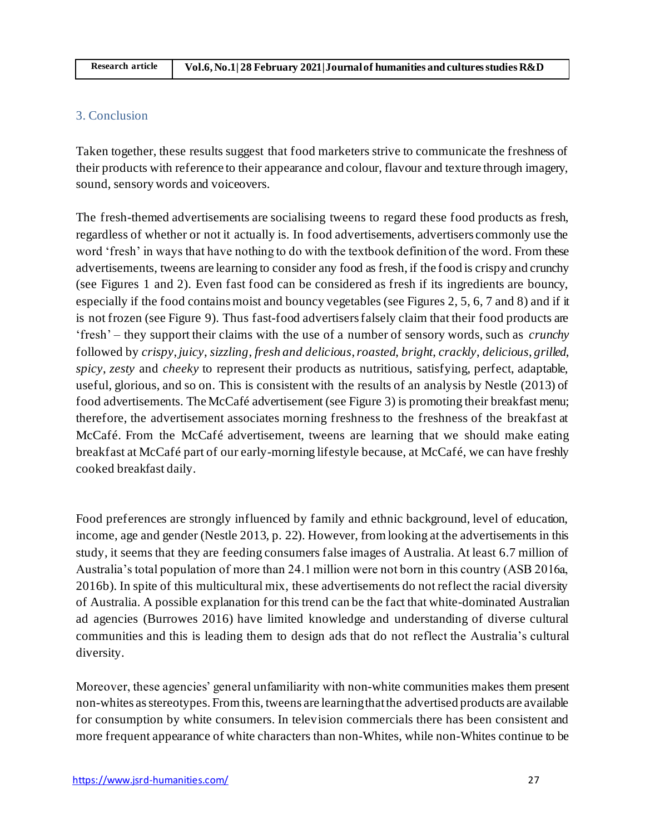#### 3. Conclusion

Taken together, these results suggest that food marketers strive to communicate the freshness of their products with reference to their appearance and colour, flavour and texture through imagery, sound, sensory words and voiceovers.

The fresh-themed advertisements are socialising tweens to regard these food products as fresh, regardless of whether or not it actually is. In food advertisements, advertisers commonly use the word 'fresh' in ways that have nothing to do with the textbook definition of the word. From these advertisements, tweens are learning to consider any food as fresh, if the food is crispy and crunchy (see Figures 1 and 2). Even fast food can be considered as fresh if its ingredients are bouncy, especially if the food contains moist and bouncy vegetables (see Figures 2, 5, 6, 7 and 8) and if it is not frozen (see Figure 9). Thus fast-food advertisers falsely claim that their food products are 'fresh' – they support their claims with the use of a number of sensory words, such as *crunchy* followed by *crispy*, *juicy*, *sizzling*, *fresh and delicious*, *roasted*, *bright*, *crackly*, *delicious*, *grilled*, *spicy*, *zesty* and *cheeky* to represent their products as nutritious, satisfying, perfect, adaptable, useful, glorious, and so on. This is consistent with the results of an analysis by Nestle (2013) of food advertisements. The McCafé advertisement (see Figure 3) is promoting their breakfast menu; therefore, the advertisement associates morning freshness to the freshness of the breakfast at McCafé. From the McCafé advertisement, tweens are learning that we should make eating breakfast at McCafé part of our early-morning lifestyle because, at McCafé, we can have freshly cooked breakfast daily.

Food preferences are strongly influenced by family and ethnic background, level of education, income, age and gender (Nestle 2013, p. 22). However, from looking at the advertisements in this study, it seems that they are feeding consumers false images of Australia. At least 6.7 million of Australia's total population of more than 24.1 million were not born in this country (ASB 2016a, 2016b). In spite of this multicultural mix, these advertisements do not reflect the racial diversity of Australia. A possible explanation for this trend can be the fact that white-dominated Australian ad agencies (Burrowes 2016) have limited knowledge and understanding of diverse cultural communities and this is leading them to design ads that do not reflect the Australia's cultural diversity.

Moreover, these agencies' general unfamiliarity with non-white communities makes them present non-whites asstereotypes. From this, tweens are learning that the advertised products are available for consumption by white consumers. In television commercials there has been consistent and more frequent appearance of white characters than non-Whites, while non-Whites continue to be